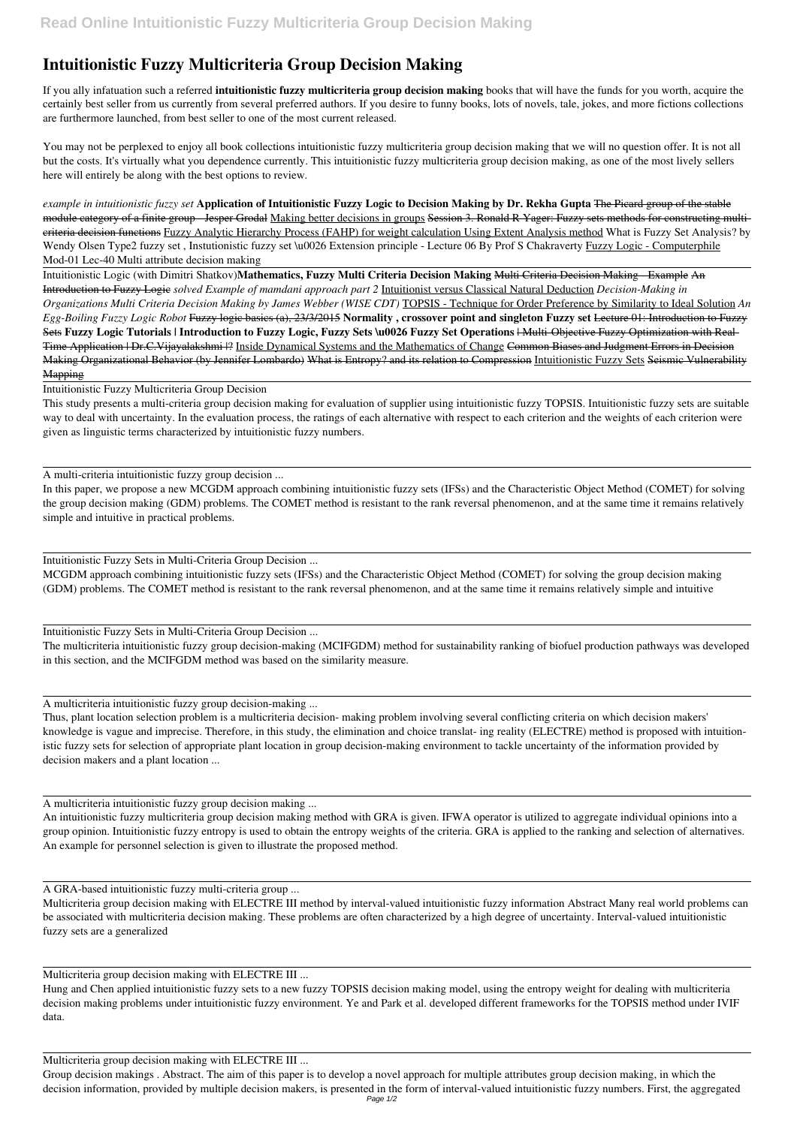## **Intuitionistic Fuzzy Multicriteria Group Decision Making**

If you ally infatuation such a referred **intuitionistic fuzzy multicriteria group decision making** books that will have the funds for you worth, acquire the certainly best seller from us currently from several preferred authors. If you desire to funny books, lots of novels, tale, jokes, and more fictions collections are furthermore launched, from best seller to one of the most current released.

You may not be perplexed to enjoy all book collections intuitionistic fuzzy multicriteria group decision making that we will no question offer. It is not all but the costs. It's virtually what you dependence currently. This intuitionistic fuzzy multicriteria group decision making, as one of the most lively sellers here will entirely be along with the best options to review.

*example in intuitionistic fuzzy set* **Application of Intuitionistic Fuzzy Logic to Decision Making by Dr. Rekha Gupta** The Picard group of the stable module category of a finite group - Jesper Grodal Making better decisions in groups Session 3. Ronald R Yager: Fuzzy sets methods for constructing multicriteria decision functions Fuzzy Analytic Hierarchy Process (FAHP) for weight calculation Using Extent Analysis method What is Fuzzy Set Analysis? by Wendy Olsen Type2 fuzzy set, Instutionistic fuzzy set \u0026 Extension principle - Lecture 06 By Prof S Chakraverty Fuzzy Logic - Computerphile Mod-01 Lec-40 Multi attribute decision making

Intuitionistic Logic (with Dimitri Shatkov)**Mathematics, Fuzzy Multi Criteria Decision Making** Multi Criteria Decision Making - Example An Introduction to Fuzzy Logic *solved Example of mamdani approach part 2* Intuitionist versus Classical Natural Deduction *Decision-Making in Organizations Multi Criteria Decision Making by James Webber (WISE CDT)* TOPSIS - Technique for Order Preference by Similarity to Ideal Solution *An Egg-Boiling Fuzzy Logic Robot* Fuzzy logic basics (a), 23/3/2015 **Normality , crossover point and singleton Fuzzy set** Lecture 01: Introduction to Fuzzy Sets **Fuzzy Logic Tutorials | Introduction to Fuzzy Logic, Fuzzy Sets \u0026 Fuzzy Set Operations** | Multi-Objective Fuzzy Optimization with Real-Time Application | Dr.C.Vijayalakshmi |? Inside Dynamical Systems and the Mathematics of Change Common Biases and Judgment Errors in Decision Making Organizational Behavior (by Jennifer Lombardo) What is Entropy? and its relation to Compression Intuitionistic Fuzzy Sets Seismic Vulnerability Mapping

Intuitionistic Fuzzy Multicriteria Group Decision

This study presents a multi-criteria group decision making for evaluation of supplier using intuitionistic fuzzy TOPSIS. Intuitionistic fuzzy sets are suitable way to deal with uncertainty. In the evaluation process, the ratings of each alternative with respect to each criterion and the weights of each criterion were given as linguistic terms characterized by intuitionistic fuzzy numbers.

A multi-criteria intuitionistic fuzzy group decision ...

In this paper, we propose a new MCGDM approach combining intuitionistic fuzzy sets (IFSs) and the Characteristic Object Method (COMET) for solving the group decision making (GDM) problems. The COMET method is resistant to the rank reversal phenomenon, and at the same time it remains relatively simple and intuitive in practical problems.

Intuitionistic Fuzzy Sets in Multi-Criteria Group Decision ...

MCGDM approach combining intuitionistic fuzzy sets (IFSs) and the Characteristic Object Method (COMET) for solving the group decision making (GDM) problems. The COMET method is resistant to the rank reversal phenomenon, and at the same time it remains relatively simple and intuitive

Intuitionistic Fuzzy Sets in Multi-Criteria Group Decision ...

The multicriteria intuitionistic fuzzy group decision-making (MCIFGDM) method for sustainability ranking of biofuel production pathways was developed in this section, and the MCIFGDM method was based on the similarity measure.

A multicriteria intuitionistic fuzzy group decision-making ...

Thus, plant location selection problem is a multicriteria decision- making problem involving several conflicting criteria on which decision makers' knowledge is vague and imprecise. Therefore, in this study, the elimination and choice translat- ing reality (ELECTRE) method is proposed with intuitionistic fuzzy sets for selection of appropriate plant location in group decision-making environment to tackle uncertainty of the information provided by decision makers and a plant location ...

A multicriteria intuitionistic fuzzy group decision making ...

An intuitionistic fuzzy multicriteria group decision making method with GRA is given. IFWA operator is utilized to aggregate individual opinions into a group opinion. Intuitionistic fuzzy entropy is used to obtain the entropy weights of the criteria. GRA is applied to the ranking and selection of alternatives. An example for personnel selection is given to illustrate the proposed method.

A GRA-based intuitionistic fuzzy multi-criteria group ...

Multicriteria group decision making with ELECTRE III method by interval-valued intuitionistic fuzzy information Abstract Many real world problems can be associated with multicriteria decision making. These problems are often characterized by a high degree of uncertainty. Interval-valued intuitionistic fuzzy sets are a generalized

Multicriteria group decision making with ELECTRE III ...

Hung and Chen applied intuitionistic fuzzy sets to a new fuzzy TOPSIS decision making model, using the entropy weight for dealing with multicriteria decision making problems under intuitionistic fuzzy environment. Ye and Park et al. developed different frameworks for the TOPSIS method under IVIF data.

Multicriteria group decision making with ELECTRE III ...

Group decision makings . Abstract. The aim of this paper is to develop a novel approach for multiple attributes group decision making, in which the decision information, provided by multiple decision makers, is presented in the form of interval-valued intuitionistic fuzzy numbers. First, the aggregated Page 1/2